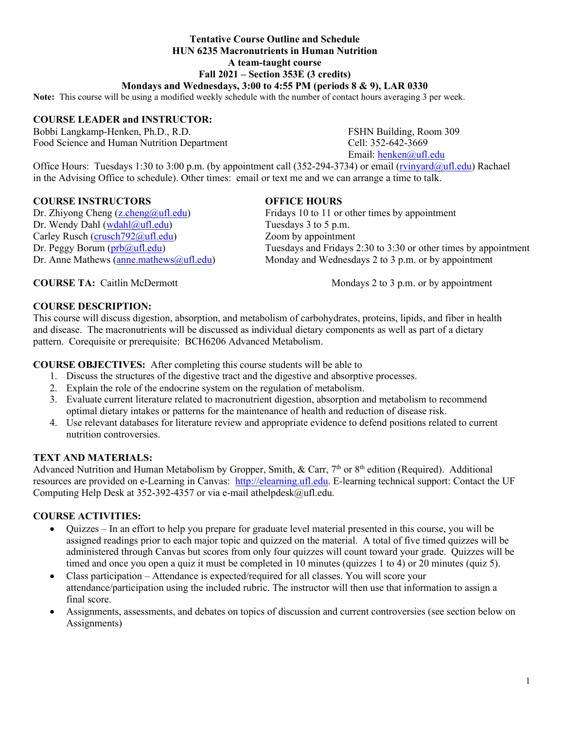## **Tentative Course Outline and Schedule HUN 6235 Macronutrients in Human Nutrition A team-taught course Fall 2021 – Section 353E (3 credits)**

## **Mondays and Wednesdays, 3:00 to 4:55 PM (periods 8 & 9), LAR 0330**

**Note:** This course will be using a modified weekly schedule with the number of contact hours averaging 3 per week.

#### **COURSE LEADER and INSTRUCTOR:**

Bobbi Langkamp-Henken, Ph.D., R.D. FSHN Building, Room 309 Food Science and Human Nutrition Department Cell: 352-642-3669

Email: [henken@ufl.edu](mailto:henken@ufl.edu)

Office Hours: Tuesdays 1:30 to 3:00 p.m. (by appointment call (352-294-3734) or email [\(rvinyard@ufl.edu\)](mailto:rvinyard@ufl.edu) Rachael in the Advising Office to schedule). Other times: email or text me and we can arrange a time to talk.

#### **COURSE INSTRUCTORS OFFICE HOURS**

Dr. Wendy Dahl [\(wdahl@ufl.edu\)](mailto:wdahl@ufl.edu) Tuesdays 3 to 5 p.m. Carley Rusch (crusch 792@ufl.edu) Zoom by appointment

Dr. Zhiyong Cheng [\(z.cheng@ufl.edu\)](mailto:z.cheng@ufl.edu) Fridays 10 to 11 or other times by appointment Dr. Peggy Borum ( $prb@ufl.edu$ )<br>Dr. Anne Mathews (anne mathews@ufl.edu) Monday and Wednesdays 2 to 3 p.m. or by appointment</u> Monday and Wednesdays 2 to 3 p.m. or by appointment

**COURSE TA:** Caitlin McDermott Mondays 2 to 3 p.m. or by appointment

#### **COURSE DESCRIPTION:**

This course will discuss digestion, absorption, and metabolism of carbohydrates, proteins, lipids, and fiber in health and disease. The macronutrients will be discussed as individual dietary components as well as part of a dietary pattern. Corequisite or prerequisite: BCH6206 Advanced Metabolism.

**COURSE OBJECTIVES:** After completing this course students will be able to

- 1. Discuss the structures of the digestive tract and the digestive and absorptive processes.
- 2. Explain the role of the endocrine system on the regulation of metabolism.
- 3. Evaluate current literature related to macronutrient digestion, absorption and metabolism to recommend optimal dietary intakes or patterns for the maintenance of health and reduction of disease risk.
- 4. Use relevant databases for literature review and appropriate evidence to defend positions related to current nutrition controversies.

#### **TEXT AND MATERIALS:**

Advanced Nutrition and Human Metabolism by Gropper, Smith, & Carr, 7<sup>th</sup> or 8<sup>th</sup> edition (Required). Additional resources are provided on e-Learning in Canvas: [http://elearning.ufl.edu.](http://elearning.ufl.edu/) E-learning technical support: Contact the UF Computing Help Desk at 352-392-4357 or via e-mail athelpdesk@ufl.edu.

## **COURSE ACTIVITIES:**

- Quizzes In an effort to help you prepare for graduate level material presented in this course, you will be assigned readings prior to each major topic and quizzed on the material. A total of five timed quizzes will be administered through Canvas but scores from only four quizzes will count toward your grade. Quizzes will be timed and once you open a quiz it must be completed in 10 minutes (quizzes 1 to 4) or 20 minutes (quiz 5).
- Class participation Attendance is expected/required for all classes. You will score your attendance/participation using the included rubric. The instructor will then use that information to assign a final score.
- Assignments, assessments, and debates on topics of discussion and current controversies (see section below on Assignments)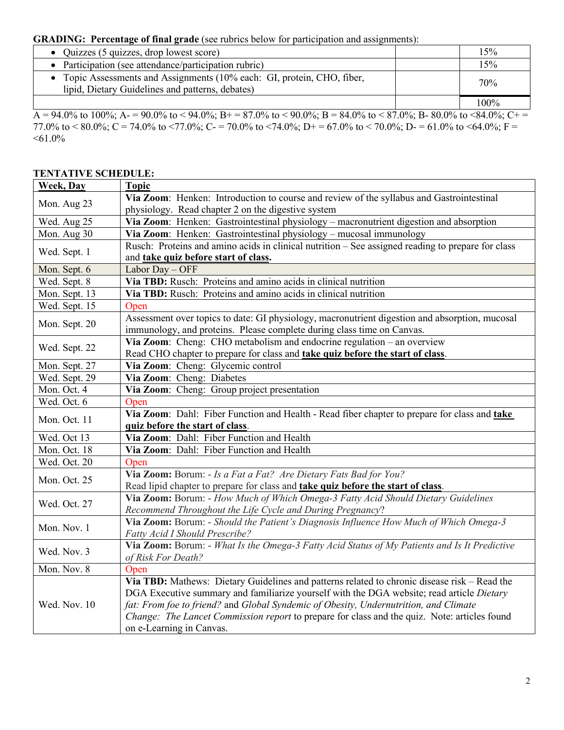# **GRADING: Percentage of final grade** (see rubrics below for participation and assignments):

| • Quizzes $(5 \text{ quizzes}, \text{drop lowest score})$                                                                   | 15%  |
|-----------------------------------------------------------------------------------------------------------------------------|------|
| Participation (see attendance/participation rubric)                                                                         | 15%  |
| • Topic Assessments and Assignments (10% each: GI, protein, CHO, fiber,<br>lipid, Dietary Guidelines and patterns, debates) | 70%  |
|                                                                                                                             | 100% |

 $\overline{A} = 94.0\%$  to 100%;  $A = 90.0\%$  to  $\lt$  94.0%;  $B = 87.0\%$  to  $\lt$  90.0%;  $B = 84.0\%$  to  $\lt$  87.0%;  $B = 80.0\%$  to  $\lt$ 84.0%;  $C = 1$ 77.0% to  $\lt$  80.0%; C = 74.0% to  $\lt$ 77.0%; C = 70.0% to  $\lt$ 74.0%; D + = 67.0% to  $\lt$  70.0%; D = 61.0% to  $\lt$ 64.0%; F =  $<61.0\%$ 

### **TENTATIVE SCHEDULE:**

| <b>Week</b> , Day | <b>Topic</b>                                                                                                                                       |  |  |  |
|-------------------|----------------------------------------------------------------------------------------------------------------------------------------------------|--|--|--|
| Mon. Aug 23       | Via Zoom: Henken: Introduction to course and review of the syllabus and Gastrointestinal                                                           |  |  |  |
|                   | physiology. Read chapter 2 on the digestive system                                                                                                 |  |  |  |
| Wed. Aug 25       | Via Zoom: Henken: Gastrointestinal physiology - macronutrient digestion and absorption                                                             |  |  |  |
| Mon. Aug 30       | Via Zoom: Henken: Gastrointestinal physiology - mucosal immunology                                                                                 |  |  |  |
|                   | Rusch: Proteins and amino acids in clinical nutrition – See assigned reading to prepare for class                                                  |  |  |  |
| Wed. Sept. 1      | and take quiz before start of class.                                                                                                               |  |  |  |
| Mon. Sept. 6      | Labor Day - OFF                                                                                                                                    |  |  |  |
| Wed. Sept. 8      | Via TBD: Rusch: Proteins and amino acids in clinical nutrition                                                                                     |  |  |  |
| Mon. Sept. 13     | Via TBD: Rusch: Proteins and amino acids in clinical nutrition                                                                                     |  |  |  |
| Wed. Sept. 15     | Open                                                                                                                                               |  |  |  |
| Mon. Sept. 20     | Assessment over topics to date: GI physiology, macronutrient digestion and absorption, mucosal                                                     |  |  |  |
|                   | immunology, and proteins. Please complete during class time on Canvas.                                                                             |  |  |  |
| Wed. Sept. 22     | Via Zoom: Cheng: CHO metabolism and endocrine regulation - an overview                                                                             |  |  |  |
|                   | Read CHO chapter to prepare for class and take quiz before the start of class.                                                                     |  |  |  |
| Mon. Sept. 27     | Via Zoom: Cheng: Glycemic control                                                                                                                  |  |  |  |
| Wed. Sept. 29     | Via Zoom: Cheng: Diabetes                                                                                                                          |  |  |  |
| Mon. Oct. 4       | Via Zoom: Cheng: Group project presentation                                                                                                        |  |  |  |
| Wed. Oct. 6       | Open                                                                                                                                               |  |  |  |
| Mon. Oct. 11      | Via Zoom: Dahl: Fiber Function and Health - Read fiber chapter to prepare for class and take<br>quiz before the start of class.                    |  |  |  |
| Wed. Oct 13       | Via Zoom: Dahl: Fiber Function and Health                                                                                                          |  |  |  |
| Mon. Oct. 18      | Via Zoom: Dahl: Fiber Function and Health                                                                                                          |  |  |  |
| Wed. Oct. 20      | Open                                                                                                                                               |  |  |  |
|                   | Via Zoom: Borum: - Is a Fat a Fat? Are Dietary Fats Bad for You?                                                                                   |  |  |  |
| Mon. Oct. 25      | Read lipid chapter to prepare for class and take quiz before the start of class.                                                                   |  |  |  |
|                   | Via Zoom: Borum: - How Much of Which Omega-3 Fatty Acid Should Dietary Guidelines                                                                  |  |  |  |
| Wed. Oct. 27      |                                                                                                                                                    |  |  |  |
|                   | Recommend Throughout the Life Cycle and During Pregnancy?<br>Via Zoom: Borum: - Should the Patient's Diagnosis Influence How Much of Which Omega-3 |  |  |  |
| Mon. Nov. 1       | Fatty Acid I Should Prescribe?                                                                                                                     |  |  |  |
|                   | Via Zoom: Borum: - What Is the Omega-3 Fatty Acid Status of My Patients and Is It Predictive                                                       |  |  |  |
| Wed. Nov. 3       | of Risk For Death?                                                                                                                                 |  |  |  |
| Mon. Nov. 8       | Open                                                                                                                                               |  |  |  |
|                   | Via TBD: Mathews: Dietary Guidelines and patterns related to chronic disease risk - Read the                                                       |  |  |  |
| Wed. Nov. 10      | DGA Executive summary and familiarize yourself with the DGA website; read article Dietary                                                          |  |  |  |
|                   | fat: From foe to friend? and Global Syndemic of Obesity, Undernutrition, and Climate                                                               |  |  |  |
|                   | Change: The Lancet Commission report to prepare for class and the quiz. Note: articles found                                                       |  |  |  |
|                   | on e-Learning in Canvas.                                                                                                                           |  |  |  |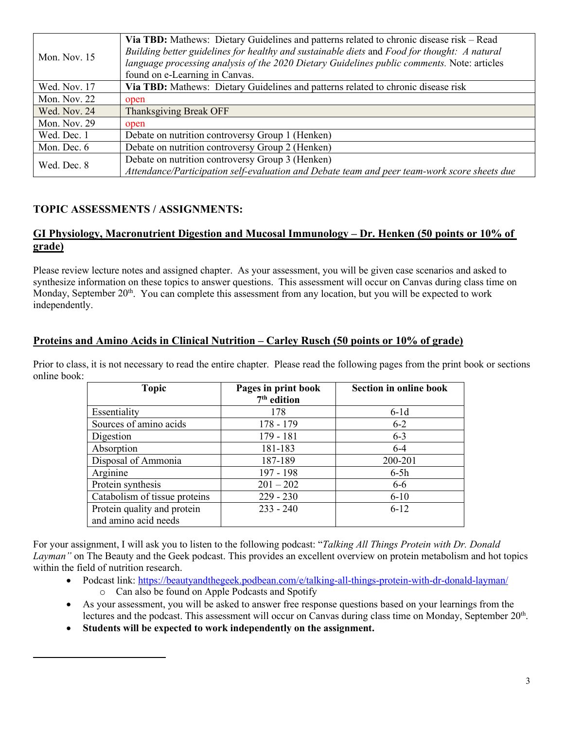|                | Via TBD: Mathews: Dietary Guidelines and patterns related to chronic disease risk – Read<br>Building better guidelines for healthy and sustainable diets and Food for thought: A natural |
|----------------|------------------------------------------------------------------------------------------------------------------------------------------------------------------------------------------|
| Mon. Nov. $15$ | language processing analysis of the 2020 Dietary Guidelines public comments. Note: articles                                                                                              |
|                | found on e-Learning in Canvas.                                                                                                                                                           |
| Wed. Nov. 17   | Via TBD: Mathews: Dietary Guidelines and patterns related to chronic disease risk                                                                                                        |
| Mon. Nov. 22   | open                                                                                                                                                                                     |
| Wed. Nov. 24   | Thanksgiving Break OFF                                                                                                                                                                   |
| Mon. Nov. 29   | open                                                                                                                                                                                     |
| Wed. Dec. 1    | Debate on nutrition controversy Group 1 (Henken)                                                                                                                                         |
| Mon. Dec. 6    | Debate on nutrition controversy Group 2 (Henken)                                                                                                                                         |
|                | Debate on nutrition controversy Group 3 (Henken)                                                                                                                                         |
| Wed. Dec. 8    | Attendance/Participation self-evaluation and Debate team and peer team-work score sheets due                                                                                             |

# **TOPIC ASSESSMENTS / ASSIGNMENTS:**

## **GI Physiology, Macronutrient Digestion and Mucosal Immunology – Dr. Henken (50 points or 10% of grade)**

Please review lecture notes and assigned chapter. As your assessment, you will be given case scenarios and asked to synthesize information on these topics to answer questions. This assessment will occur on Canvas during class time on Monday, September 20<sup>th</sup>. You can complete this assessment from any location, but you will be expected to work independently.

## **Proteins and Amino Acids in Clinical Nutrition – Carley Rusch (50 points or 10% of grade)**

Prior to class, it is not necessary to read the entire chapter. Please read the following pages from the print book or sections online book:

| <b>Topic</b>                                        | Pages in print book<br>$7th$ edition | <b>Section in online book</b> |
|-----------------------------------------------------|--------------------------------------|-------------------------------|
| Essentiality                                        | 178                                  | $6-1d$                        |
| Sources of amino acids                              | $178 - 179$                          | $6 - 2$                       |
| Digestion                                           | $179 - 181$                          | $6 - 3$                       |
| Absorption                                          | 181-183                              | $6 - 4$                       |
| Disposal of Ammonia                                 | 187-189                              | 200-201                       |
| Arginine                                            | 197 - 198                            | $6-5h$                        |
| Protein synthesis                                   | $201 - 202$                          | $6-6$                         |
| Catabolism of tissue proteins                       | $229 - 230$                          | $6 - 10$                      |
| Protein quality and protein<br>and amino acid needs | $233 - 240$                          | $6 - 12$                      |

For your assignment, I will ask you to listen to the following podcast: "*Talking All Things Protein with Dr. Donald Layman"* on The Beauty and the Geek podcast. This provides an excellent overview on protein metabolism and hot topics within the field of nutrition research.

- Podcast link:<https://beautyandthegeek.podbean.com/e/talking-all-things-protein-with-dr-donald-layman/>
	- o Can also be found on Apple Podcasts and Spotify
- As your assessment, you will be asked to answer free response questions based on your learnings from the lectures and the podcast. This assessment will occur on Canvas during class time on Monday, September 20<sup>th</sup>.
- **Students will be expected to work independently on the assignment.**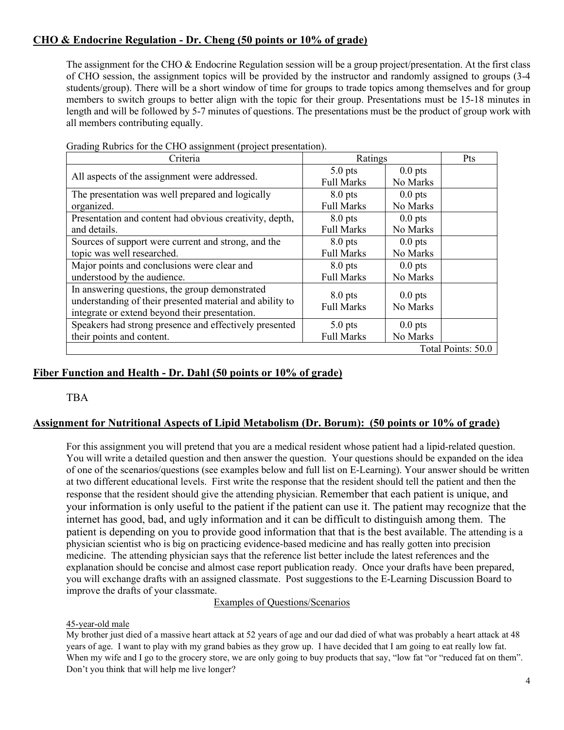# **CHO & Endocrine Regulation - Dr. Cheng (50 points or 10% of grade)**

The assignment for the CHO & Endocrine Regulation session will be a group project/presentation. At the first class of CHO session, the assignment topics will be provided by the instructor and randomly assigned to groups (3-4 students/group). There will be a short window of time for groups to trade topics among themselves and for group members to switch groups to better align with the topic for their group. Presentations must be 15-18 minutes in length and will be followed by 5-7 minutes of questions. The presentations must be the product of group work with all members contributing equally.

| Criteria                                                 | Ratings                        |                       | Pts                |
|----------------------------------------------------------|--------------------------------|-----------------------|--------------------|
| All aspects of the assignment were addressed.            | $5.0$ pts                      | $0.0$ pts             |                    |
|                                                          | <b>Full Marks</b>              | No Marks              |                    |
| The presentation was well prepared and logically         | $8.0$ pts                      | $0.0$ pts             |                    |
| organized.                                               | <b>Full Marks</b>              | No Marks              |                    |
| Presentation and content had obvious creativity, depth,  | $8.0$ pts                      | $0.0$ pts             |                    |
| and details.                                             | <b>Full Marks</b>              | No Marks              |                    |
| Sources of support were current and strong, and the      | $8.0$ pts                      | $0.0$ pts             |                    |
| topic was well researched.                               | <b>Full Marks</b>              | No Marks              |                    |
| Major points and conclusions were clear and              | $8.0$ pts                      | $0.0$ pts             |                    |
| understood by the audience.                              | <b>Full Marks</b>              | No Marks              |                    |
| In answering questions, the group demonstrated           |                                |                       |                    |
| understanding of their presented material and ability to | $8.0$ pts<br><b>Full Marks</b> | $0.0$ pts<br>No Marks |                    |
| integrate or extend beyond their presentation.           |                                |                       |                    |
| Speakers had strong presence and effectively presented   | $5.0$ pts                      | $0.0$ pts             |                    |
| their points and content.                                | <b>Full Marks</b>              | No Marks              |                    |
|                                                          |                                |                       | Total Points: 50.0 |

Grading Rubrics for the CHO assignment (project presentation).

## **Fiber Function and Health - Dr. Dahl (50 points or 10% of grade)**

### TBA

## **Assignment for Nutritional Aspects of Lipid Metabolism (Dr. Borum): (50 points or 10% of grade)**

For this assignment you will pretend that you are a medical resident whose patient had a lipid-related question. You will write a detailed question and then answer the question. Your questions should be expanded on the idea of one of the scenarios/questions (see examples below and full list on E-Learning). Your answer should be written at two different educational levels. First write the response that the resident should tell the patient and then the response that the resident should give the attending physician. Remember that each patient is unique, and your information is only useful to the patient if the patient can use it. The patient may recognize that the internet has good, bad, and ugly information and it can be difficult to distinguish among them. The patient is depending on you to provide good information that that is the best available. The attending is a physician scientist who is big on practicing evidence-based medicine and has really gotten into precision medicine. The attending physician says that the reference list better include the latest references and the explanation should be concise and almost case report publication ready. Once your drafts have been prepared, you will exchange drafts with an assigned classmate. Post suggestions to the E-Learning Discussion Board to improve the drafts of your classmate.

### Examples of Questions/Scenarios

### 45-year-old male

My brother just died of a massive heart attack at 52 years of age and our dad died of what was probably a heart attack at 48 years of age. I want to play with my grand babies as they grow up. I have decided that I am going to eat really low fat. When my wife and I go to the grocery store, we are only going to buy products that say, "low fat "or "reduced fat on them". Don't you think that will help me live longer?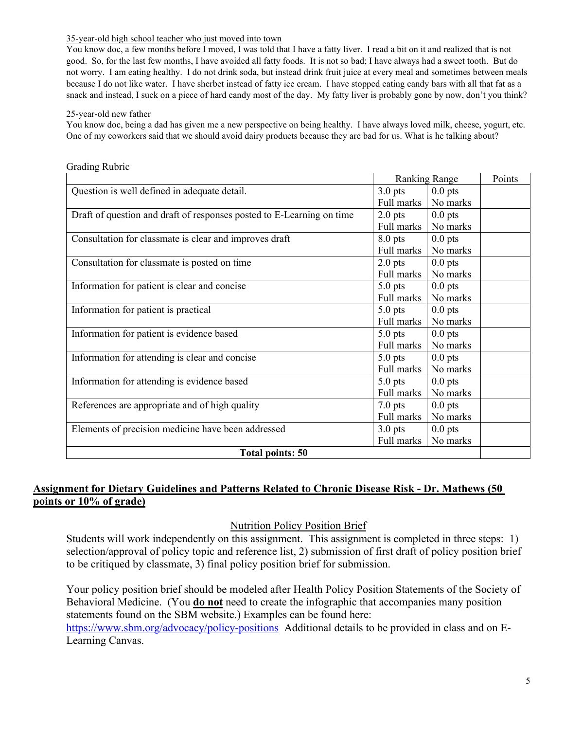#### 35-year-old high school teacher who just moved into town

You know doc, a few months before I moved, I was told that I have a fatty liver. I read a bit on it and realized that is not good. So, for the last few months, I have avoided all fatty foods. It is not so bad; I have always had a sweet tooth. But do not worry. I am eating healthy. I do not drink soda, but instead drink fruit juice at every meal and sometimes between meals because I do not like water. I have sherbet instead of fatty ice cream. I have stopped eating candy bars with all that fat as a snack and instead, I suck on a piece of hard candy most of the day. My fatty liver is probably gone by now, don't you think?

## 25-year-old new father

You know doc, being a dad has given me a new perspective on being healthy. I have always loved milk, cheese, yogurt, etc. One of my coworkers said that we should avoid dairy products because they are bad for us. What is he talking about?

|                                                                       | <b>Ranking Range</b> |           | Points |  |
|-----------------------------------------------------------------------|----------------------|-----------|--------|--|
| Question is well defined in adequate detail.                          | $3.0$ pts            | $0.0$ pts |        |  |
|                                                                       | Full marks           | No marks  |        |  |
| Draft of question and draft of responses posted to E-Learning on time | $2.0$ pts            | $0.0$ pts |        |  |
|                                                                       | Full marks           | No marks  |        |  |
| Consultation for classmate is clear and improves draft                | $8.0$ pts            | $0.0$ pts |        |  |
|                                                                       | Full marks           | No marks  |        |  |
| Consultation for classmate is posted on time                          | $2.0$ pts            | $0.0$ pts |        |  |
|                                                                       | Full marks           | No marks  |        |  |
| Information for patient is clear and concise                          | $5.0$ pts            | $0.0$ pts |        |  |
|                                                                       | Full marks           | No marks  |        |  |
| Information for patient is practical                                  | $5.0$ pts            | $0.0$ pts |        |  |
|                                                                       | Full marks           | No marks  |        |  |
| Information for patient is evidence based                             | $5.0$ pts            | $0.0$ pts |        |  |
|                                                                       | Full marks           | No marks  |        |  |
| Information for attending is clear and concise                        | $5.0$ pts            | $0.0$ pts |        |  |
|                                                                       | Full marks           | No marks  |        |  |
| Information for attending is evidence based                           | $5.0$ pts            | $0.0$ pts |        |  |
|                                                                       | Full marks           | No marks  |        |  |
| References are appropriate and of high quality                        | $7.0$ pts            | $0.0$ pts |        |  |
|                                                                       | Full marks           | No marks  |        |  |
| Elements of precision medicine have been addressed                    | $3.0$ pts            | $0.0$ pts |        |  |
|                                                                       | Full marks           | No marks  |        |  |
| <b>Total points: 50</b>                                               |                      |           |        |  |

## Grading Rubric

# **Assignment for Dietary Guidelines and Patterns Related to Chronic Disease Risk - Dr. Mathews (50 points or 10% of grade)**

## Nutrition Policy Position Brief

Students will work independently on this assignment. This assignment is completed in three steps: 1) selection/approval of policy topic and reference list, 2) submission of first draft of policy position brief to be critiqued by classmate, 3) final policy position brief for submission.

Your policy position brief should be modeled after Health Policy Position Statements of the Society of Behavioral Medicine. (You **do not** need to create the infographic that accompanies many position statements found on the SBM website.) Examples can be found here: <https://www.sbm.org/advocacy/policy-positions>Additional details to be provided in class and on E-Learning Canvas.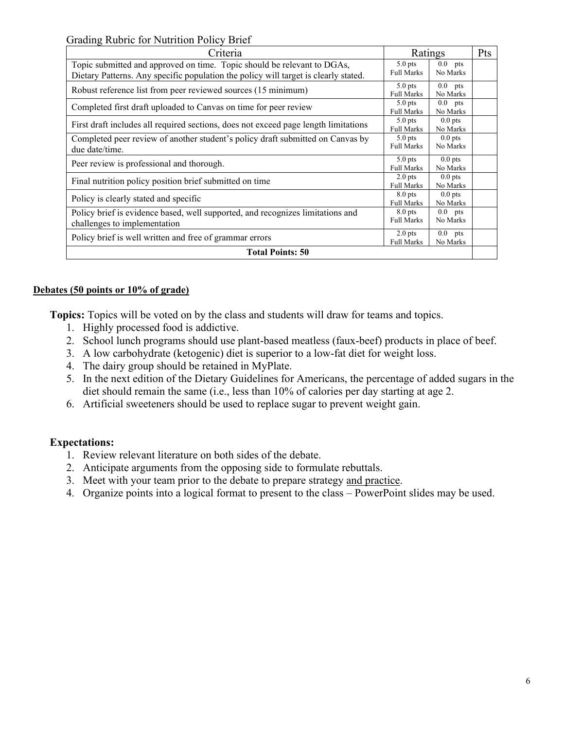Grading Rubric for Nutrition Policy Brief

| Criteria                                                                                                                                                       | Ratings                        |                       | Pts |  |
|----------------------------------------------------------------------------------------------------------------------------------------------------------------|--------------------------------|-----------------------|-----|--|
| Topic submitted and approved on time. Topic should be relevant to DGAs,<br>Dietary Patterns. Any specific population the policy will target is clearly stated. | $5.0$ pts<br><b>Full Marks</b> | $0.0$ pts<br>No Marks |     |  |
| Robust reference list from peer reviewed sources (15 minimum)                                                                                                  | $5.0$ pts<br><b>Full Marks</b> | $0.0$ pts<br>No Marks |     |  |
| Completed first draft uploaded to Canvas on time for peer review                                                                                               | $5.0$ pts<br><b>Full Marks</b> | $0.0$ pts<br>No Marks |     |  |
| First draft includes all required sections, does not exceed page length limitations                                                                            | $5.0$ pts<br><b>Full Marks</b> | $0.0$ pts<br>No Marks |     |  |
| Completed peer review of another student's policy draft submitted on Canvas by<br>due date/time.                                                               | $5.0$ pts<br><b>Full Marks</b> | $0.0$ pts<br>No Marks |     |  |
| Peer review is professional and thorough.                                                                                                                      | $5.0$ pts<br><b>Full Marks</b> | $0.0$ pts<br>No Marks |     |  |
| Final nutrition policy position brief submitted on time                                                                                                        | $2.0$ pts<br><b>Full Marks</b> | $0.0$ pts<br>No Marks |     |  |
| Policy is clearly stated and specific                                                                                                                          | $8.0$ pts<br><b>Full Marks</b> | $0.0$ pts<br>No Marks |     |  |
| Policy brief is evidence based, well supported, and recognizes limitations and<br>challenges to implementation                                                 | $8.0$ pts<br><b>Full Marks</b> | $0.0$ pts<br>No Marks |     |  |
| Policy brief is well written and free of grammar errors                                                                                                        | $2.0$ pts<br><b>Full Marks</b> | $0.0$ pts<br>No Marks |     |  |
| <b>Total Points: 50</b>                                                                                                                                        |                                |                       |     |  |

## **Debates (50 points or 10% of grade)**

**Topics:** Topics will be voted on by the class and students will draw for teams and topics.

- 1. Highly processed food is addictive.
- 2. School lunch programs should use plant-based meatless (faux-beef) products in place of beef.
- 3. A low carbohydrate (ketogenic) diet is superior to a low-fat diet for weight loss.
- 4. The dairy group should be retained in MyPlate.
- 5. In the next edition of the Dietary Guidelines for Americans, the percentage of added sugars in the diet should remain the same (i.e., less than 10% of calories per day starting at age 2.
- 6. Artificial sweeteners should be used to replace sugar to prevent weight gain.

## **Expectations:**

- 1. Review relevant literature on both sides of the debate.
- 2. Anticipate arguments from the opposing side to formulate rebuttals.
- 3. Meet with your team prior to the debate to prepare strategy and practice.
- 4. Organize points into a logical format to present to the class PowerPoint slides may be used.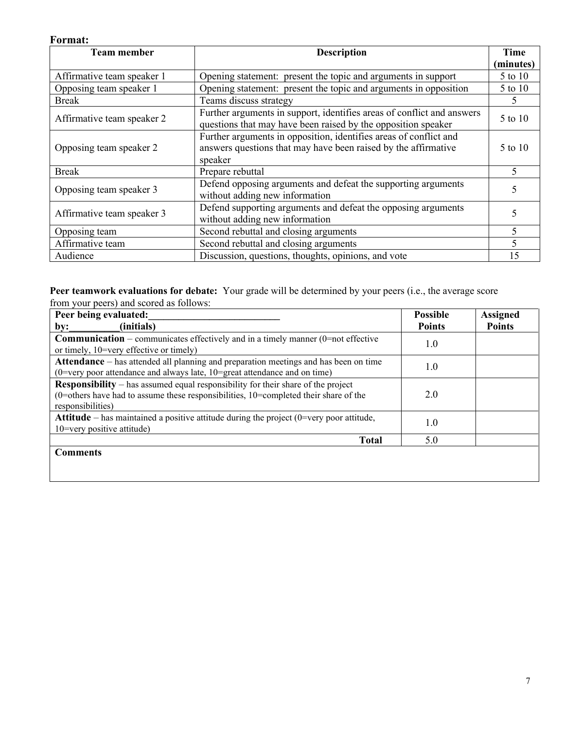## **Format:**

| <b>Team member</b>         | <b>Description</b>                                                                                                                             |           |
|----------------------------|------------------------------------------------------------------------------------------------------------------------------------------------|-----------|
|                            |                                                                                                                                                | (minutes) |
| Affirmative team speaker 1 | Opening statement: present the topic and arguments in support                                                                                  | 5 to 10   |
| Opposing team speaker 1    | Opening statement: present the topic and arguments in opposition                                                                               | 5 to 10   |
| <b>Break</b>               | Teams discuss strategy                                                                                                                         | 5.        |
| Affirmative team speaker 2 | Further arguments in support, identifies areas of conflict and answers<br>questions that may have been raised by the opposition speaker        | 5 to 10   |
| Opposing team speaker 2    | Further arguments in opposition, identifies areas of conflict and<br>answers questions that may have been raised by the affirmative<br>speaker | 5 to 10   |
| <b>Break</b>               | Prepare rebuttal                                                                                                                               | 5         |
| Opposing team speaker 3    | Defend opposing arguments and defeat the supporting arguments<br>without adding new information                                                | 5         |
| Affirmative team speaker 3 | Defend supporting arguments and defeat the opposing arguments<br>without adding new information                                                |           |
| Opposing team              | Second rebuttal and closing arguments                                                                                                          | 5         |
| Affirmative team           | Second rebuttal and closing arguments                                                                                                          |           |
| Audience                   | Discussion, questions, thoughts, opinions, and vote                                                                                            |           |

#### **Peer teamwork evaluations for debate:** Your grade will be determined by your peers (i.e., the average score from your peers) and scored as follows:

| Peer being evaluated:                                                                                                                                                                                   | <b>Possible</b> | <b>Assigned</b> |
|---------------------------------------------------------------------------------------------------------------------------------------------------------------------------------------------------------|-----------------|-----------------|
| (initials)<br>by:                                                                                                                                                                                       | <b>Points</b>   | <b>Points</b>   |
| <b>Communication</b> – communicates effectively and in a timely manner ( $0$ =not effective<br>or timely, 10=very effective or timely)                                                                  | 1.0             |                 |
| <b>Attendance</b> – has attended all planning and preparation meetings and has been on time<br>(0=very poor attendance and always late, 10=great attendance and on time)                                | 1.0             |                 |
| <b>Responsibility</b> – has assumed equal responsibility for their share of the project<br>$(0=$ others have had to assume these responsibilities, 10=completed their share of the<br>responsibilities) | 2.0             |                 |
| <b>Attitude</b> – has maintained a positive attitude during the project $(0=$ very poor attitude,<br>$10$ =very positive attitude)                                                                      | 1.0             |                 |
| <b>Total</b>                                                                                                                                                                                            | 5.0             |                 |
| <b>Comments</b>                                                                                                                                                                                         |                 |                 |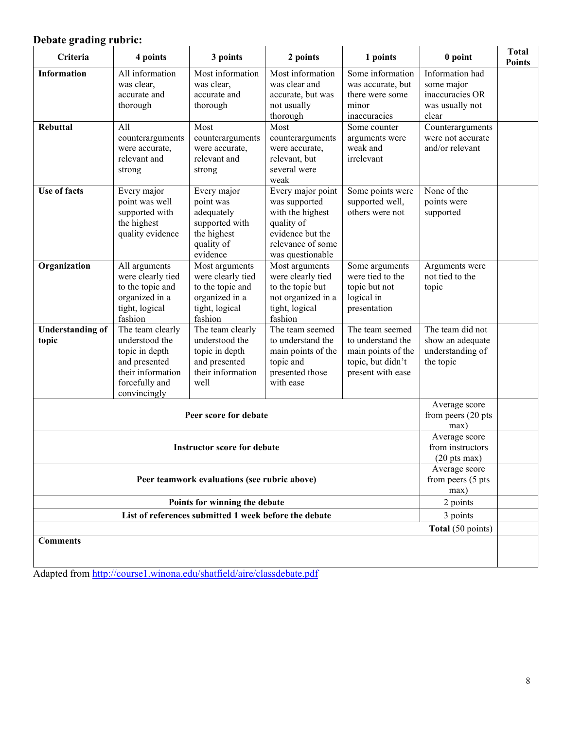# **Debate grading rubric:**

| Criteria                                                                                   | 4 points                                                                                                                     | 3 points                                                                                               | 2 points                                                                                                                          | 1 points                                                                                             | 0 point                                                                      | <b>Total</b><br><b>Points</b> |
|--------------------------------------------------------------------------------------------|------------------------------------------------------------------------------------------------------------------------------|--------------------------------------------------------------------------------------------------------|-----------------------------------------------------------------------------------------------------------------------------------|------------------------------------------------------------------------------------------------------|------------------------------------------------------------------------------|-------------------------------|
| <b>Information</b>                                                                         | All information<br>was clear,<br>accurate and<br>thorough                                                                    | Most information<br>was clear,<br>accurate and<br>thorough                                             | Most information<br>was clear and<br>accurate, but was<br>not usually<br>thorough                                                 | Some information<br>was accurate, but<br>there were some<br>minor<br>inaccuracies                    | Information had<br>some major<br>inaccuracies OR<br>was usually not<br>clear |                               |
| <b>Rebuttal</b>                                                                            | All<br>counterarguments<br>were accurate,<br>relevant and<br>strong                                                          | Most<br>counterarguments<br>were accurate,<br>relevant and<br>strong                                   | Most<br>counterarguments<br>were accurate,<br>relevant, but<br>several were<br>weak                                               | Some counter<br>arguments were<br>weak and<br>irrelevant                                             | Counterarguments<br>were not accurate<br>and/or relevant                     |                               |
| <b>Use of facts</b>                                                                        | Every major<br>point was well<br>supported with<br>the highest<br>quality evidence                                           | Every major<br>point was<br>adequately<br>supported with<br>the highest<br>quality of<br>evidence      | Every major point<br>was supported<br>with the highest<br>quality of<br>evidence but the<br>relevance of some<br>was questionable | Some points were<br>supported well,<br>others were not                                               | None of the<br>points were<br>supported                                      |                               |
| Organization                                                                               | All arguments<br>were clearly tied<br>to the topic and<br>organized in a<br>tight, logical<br>fashion                        | Most arguments<br>were clearly tied<br>to the topic and<br>organized in a<br>tight, logical<br>fashion | Most arguments<br>were clearly tied<br>to the topic but<br>not organized in a<br>tight, logical<br>fashion                        | Some arguments<br>were tied to the<br>topic but not<br>logical in<br>presentation                    | Arguments were<br>not tied to the<br>topic                                   |                               |
| <b>Understanding of</b><br>topic                                                           | The team clearly<br>understood the<br>topic in depth<br>and presented<br>their information<br>forcefully and<br>convincingly | The team clearly<br>understood the<br>topic in depth<br>and presented<br>their information<br>well     | The team seemed<br>to understand the<br>main points of the<br>topic and<br>presented those<br>with ease                           | The team seemed<br>to understand the<br>main points of the<br>topic, but didn't<br>present with ease | The team did not<br>show an adequate<br>understanding of<br>the topic        |                               |
|                                                                                            |                                                                                                                              | Peer score for debate                                                                                  |                                                                                                                                   |                                                                                                      | Average score<br>from peers (20 pts<br>max)                                  |                               |
|                                                                                            | Average score<br>from instructors<br><b>Instructor score for debate</b><br>$(20 \text{ pts max})$                            |                                                                                                        |                                                                                                                                   |                                                                                                      |                                                                              |                               |
| Average score<br>from peers (5 pts<br>Peer teamwork evaluations (see rubric above)<br>max) |                                                                                                                              |                                                                                                        |                                                                                                                                   |                                                                                                      |                                                                              |                               |
|                                                                                            | 2 points<br>Points for winning the debate                                                                                    |                                                                                                        |                                                                                                                                   |                                                                                                      |                                                                              |                               |
|                                                                                            | List of references submitted 1 week before the debate<br>3 points                                                            |                                                                                                        |                                                                                                                                   |                                                                                                      |                                                                              |                               |
| <b>Comments</b>                                                                            |                                                                                                                              |                                                                                                        |                                                                                                                                   |                                                                                                      | Total (50 points)                                                            |                               |
|                                                                                            |                                                                                                                              |                                                                                                        |                                                                                                                                   |                                                                                                      |                                                                              |                               |

Adapted from<http://course1.winona.edu/shatfield/aire/classdebate.pdf>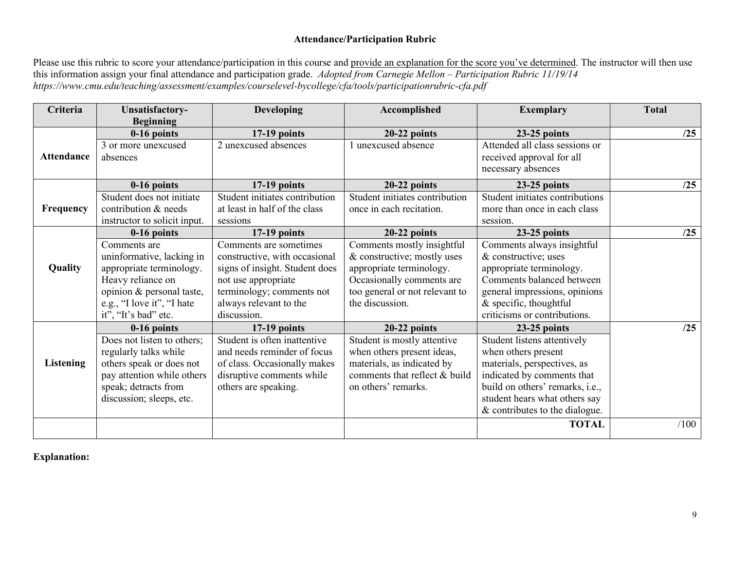# **Attendance/Participation Rubric**

Please use this rubric to score your attendance/participation in this course and provide an explanation for the score you've determined. The instructor will then use this information assign your final attendance and participation grade. *Adopted from Carnegie Mellon – Participation Rubric 11/19/14 https://www.cmu.edu/teaching/assessment/examples/courselevel-bycollege/cfa/tools/participationrubric-cfa.pdf*

| Criteria          | <b>Unsatisfactory-</b>                                                                                                                                                        | <b>Developing</b>                                                                                                                                                                      | Accomplished                                                                                                                                                            | <b>Exemplary</b>                                                                                                                                                                                                      | <b>Total</b> |
|-------------------|-------------------------------------------------------------------------------------------------------------------------------------------------------------------------------|----------------------------------------------------------------------------------------------------------------------------------------------------------------------------------------|-------------------------------------------------------------------------------------------------------------------------------------------------------------------------|-----------------------------------------------------------------------------------------------------------------------------------------------------------------------------------------------------------------------|--------------|
|                   | <b>Beginning</b><br>$0-16$ points                                                                                                                                             | $17-19$ points                                                                                                                                                                         | $20-22$ points                                                                                                                                                          | $23-25$ points                                                                                                                                                                                                        | /25          |
| <b>Attendance</b> | 3 or more unexcused<br>absences                                                                                                                                               | 2 unexcused absences                                                                                                                                                                   | unexcused absence                                                                                                                                                       | Attended all class sessions or<br>received approval for all<br>necessary absences                                                                                                                                     |              |
|                   | $0-16$ points                                                                                                                                                                 | $17-19$ points                                                                                                                                                                         | $20-22$ points                                                                                                                                                          | $23-25$ points                                                                                                                                                                                                        | /25          |
| Frequency         | Student does not initiate<br>contribution & needs<br>instructor to solicit input.                                                                                             | Student initiates contribution<br>at least in half of the class<br>sessions                                                                                                            | Student initiates contribution<br>once in each recitation.                                                                                                              | Student initiates contributions<br>more than once in each class<br>session.                                                                                                                                           |              |
|                   | 0-16 points                                                                                                                                                                   | $17-19$ points                                                                                                                                                                         | $20-22$ points                                                                                                                                                          | $23-25$ points                                                                                                                                                                                                        | /25          |
| <b>Quality</b>    | Comments are<br>uninformative, lacking in<br>appropriate terminology.<br>Heavy reliance on<br>opinion & personal taste,<br>e.g., "I love it", "I hate<br>it", "It's bad" etc. | Comments are sometimes<br>constructive, with occasional<br>signs of insight. Student does<br>not use appropriate<br>terminology; comments not<br>always relevant to the<br>discussion. | Comments mostly insightful<br>& constructive; mostly uses<br>appropriate terminology.<br>Occasionally comments are<br>too general or not relevant to<br>the discussion. | Comments always insightful<br>& constructive; uses<br>appropriate terminology.<br>Comments balanced between<br>general impressions, opinions<br>$&$ specific, thoughtful<br>criticisms or contributions.              |              |
|                   | $0-16$ points                                                                                                                                                                 | $17-19$ points                                                                                                                                                                         | $20-22$ points                                                                                                                                                          | $23-25$ points                                                                                                                                                                                                        | /25          |
| <b>Listening</b>  | Does not listen to others;<br>regularly talks while<br>others speak or does not<br>pay attention while others<br>speak; detracts from<br>discussion; sleeps, etc.             | Student is often inattentive<br>and needs reminder of focus<br>of class. Occasionally makes<br>disruptive comments while<br>others are speaking.                                       | Student is mostly attentive<br>when others present ideas,<br>materials, as indicated by<br>comments that reflect & build<br>on others' remarks.                         | Student listens attentively<br>when others present<br>materials, perspectives, as<br>indicated by comments that<br>build on others' remarks, i.e.,<br>student hears what others say<br>& contributes to the dialogue. |              |
|                   |                                                                                                                                                                               |                                                                                                                                                                                        |                                                                                                                                                                         | <b>TOTAL</b>                                                                                                                                                                                                          | /100         |

**Explanation:**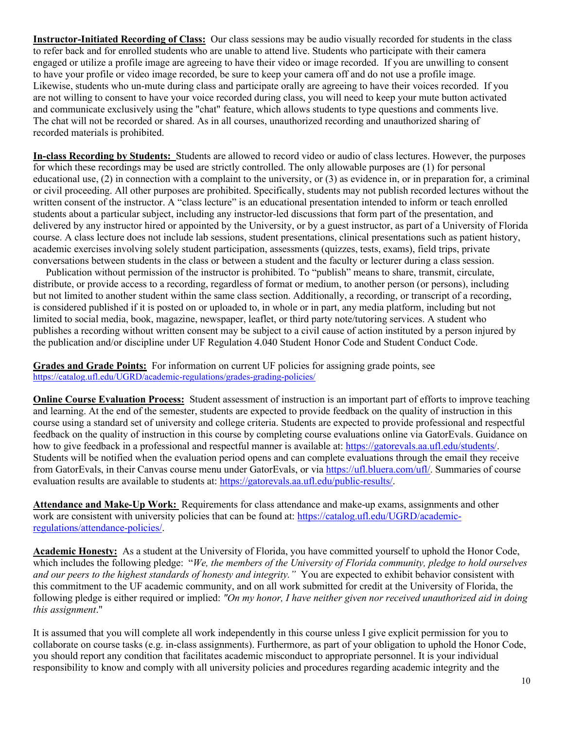**Instructor-Initiated Recording of Class:** Our class sessions may be audio visually recorded for students in the class to refer back and for enrolled students who are unable to attend live. Students who participate with their camera engaged or utilize a profile image are agreeing to have their video or image recorded. If you are unwilling to consent to have your profile or video image recorded, be sure to keep your camera off and do not use a profile image. Likewise, students who un-mute during class and participate orally are agreeing to have their voices recorded. If you are not willing to consent to have your voice recorded during class, you will need to keep your mute button activated and communicate exclusively using the "chat" feature, which allows students to type questions and comments live. The chat will not be recorded or shared. As in all courses, unauthorized recording and unauthorized sharing of recorded materials is prohibited.

**In-class Recording by Students:** Students are allowed to record video or audio of class lectures. However, the purposes for which these recordings may be used are strictly controlled. The only allowable purposes are (1) for personal educational use, (2) in connection with a complaint to the university, or (3) as evidence in, or in preparation for, a criminal or civil proceeding. All other purposes are prohibited. Specifically, students may not publish recorded lectures without the written consent of the instructor. A "class lecture" is an educational presentation intended to inform or teach enrolled students about a particular subject, including any instructor-led discussions that form part of the presentation, and delivered by any instructor hired or appointed by the University, or by a guest instructor, as part of a University of Florida course. A class lecture does not include lab sessions, student presentations, clinical presentations such as patient history, academic exercises involving solely student participation, assessments (quizzes, tests, exams), field trips, private conversations between students in the class or between a student and the faculty or lecturer during a class session.

 Publication without permission of the instructor is prohibited. To "publish" means to share, transmit, circulate, distribute, or provide access to a recording, regardless of format or medium, to another person (or persons), including but not limited to another student within the same class section. Additionally, a recording, or transcript of a recording, is considered published if it is posted on or uploaded to, in whole or in part, any media platform, including but not limited to social media, book, magazine, newspaper, leaflet, or third party note/tutoring services. A student who publishes a recording without written consent may be subject to a civil cause of action instituted by a person injured by the publication and/or discipline under UF Regulation 4.040 Student Honor Code and Student Conduct Code.

**Grades and Grade Points:** For information on current UF policies for assigning grade points, see <https://catalog.ufl.edu/UGRD/academic-regulations/grades-grading-policies/>

**Online Course Evaluation Process:** Student assessment of instruction is an important part of efforts to improve teaching and learning. At the end of the semester, students are expected to provide feedback on the quality of instruction in this course using a standard set of university and college criteria. Students are expected to provide professional and respectful feedback on the quality of instruction in this course by completing course evaluations online via GatorEvals. Guidance on how to give feedback in a professional and respectful manner is available at: [https://gatorevals.aa.ufl.edu/students/.](https://gatorevals.aa.ufl.edu/students/) Students will be notified when the evaluation period opens and can complete evaluations through the email they receive from GatorEvals, in their Canvas course menu under GatorEvals, or via [https://ufl.bluera.com/ufl/.](https://ufl.bluera.com/ufl/) Summaries of course evaluation results are available to students at: [https://gatorevals.aa.ufl.edu/public-results/.](https://gatorevals.aa.ufl.edu/public-results/)

**Attendance and Make-Up Work:** Requirements for class attendance and make-up exams, assignments and other work are consistent with university policies that can be found at: [https://catalog.ufl.edu/UGRD/academic](https://catalog.ufl.edu/UGRD/academic-regulations/attendance-policies/)[regulations/attendance-policies/.](https://catalog.ufl.edu/UGRD/academic-regulations/attendance-policies/)

**Academic Honesty:** As a student at the University of Florida, you have committed yourself to uphold the Honor Code, which includes the following pledge: "*We, the members of the University of Florida community, pledge to hold ourselves and our peers to the highest standards of honesty and integrity."* You are expected to exhibit behavior consistent with this commitment to the UF academic community, and on all work submitted for credit at the University of Florida, the following pledge is either required or implied: *"On my honor, I have neither given nor received unauthorized aid in doing this assignment*."

It is assumed that you will complete all work independently in this course unless I give explicit permission for you to collaborate on course tasks (e.g. in-class assignments). Furthermore, as part of your obligation to uphold the Honor Code, you should report any condition that facilitates academic misconduct to appropriate personnel. It is your individual responsibility to know and comply with all university policies and procedures regarding academic integrity and the